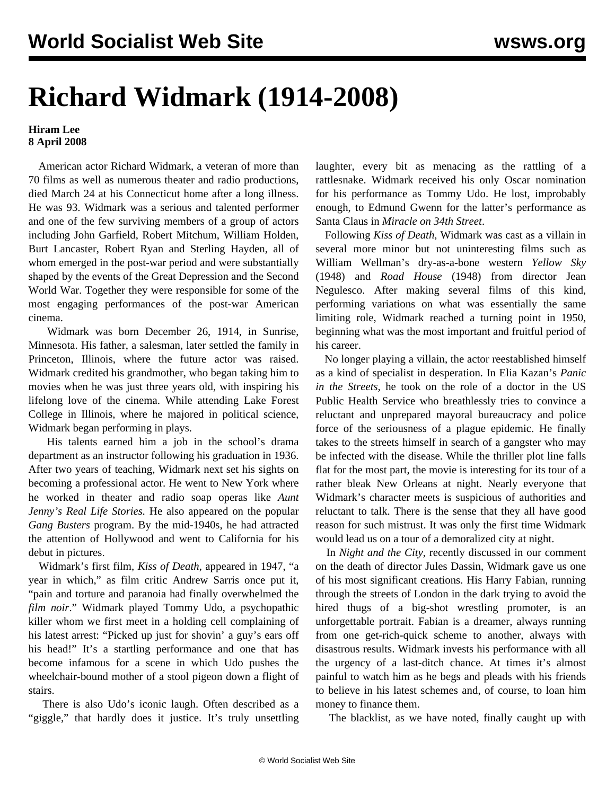## **Richard Widmark (1914-2008)**

## **Hiram Lee 8 April 2008**

 American actor Richard Widmark, a veteran of more than 70 films as well as numerous theater and radio productions, died March 24 at his Connecticut home after a long illness. He was 93. Widmark was a serious and talented performer and one of the few surviving members of a group of actors including John Garfield, Robert Mitchum, William Holden, Burt Lancaster, Robert Ryan and Sterling Hayden, all of whom emerged in the post-war period and were substantially shaped by the events of the Great Depression and the Second World War. Together they were responsible for some of the most engaging performances of the post-war American cinema.

 Widmark was born December 26, 1914, in Sunrise, Minnesota. His father, a salesman, later settled the family in Princeton, Illinois, where the future actor was raised. Widmark credited his grandmother, who began taking him to movies when he was just three years old, with inspiring his lifelong love of the cinema. While attending Lake Forest College in Illinois, where he majored in political science, Widmark began performing in plays.

 His talents earned him a job in the school's drama department as an instructor following his graduation in 1936. After two years of teaching, Widmark next set his sights on becoming a professional actor. He went to New York where he worked in theater and radio soap operas like *Aunt Jenny's Real Life Stories.* He also appeared on the popular *Gang Busters* program. By the mid-1940s, he had attracted the attention of Hollywood and went to California for his debut in pictures.

 Widmark's first film, *Kiss of Death*, appeared in 1947, "a year in which," as film critic Andrew Sarris once put it, "pain and torture and paranoia had finally overwhelmed the *film noir*." Widmark played Tommy Udo, a psychopathic killer whom we first meet in a holding cell complaining of his latest arrest: "Picked up just for shovin' a guy's ears off his head!" It's a startling performance and one that has become infamous for a scene in which Udo pushes the wheelchair-bound mother of a stool pigeon down a flight of stairs.

 There is also Udo's iconic laugh. Often described as a "giggle," that hardly does it justice. It's truly unsettling laughter, every bit as menacing as the rattling of a rattlesnake. Widmark received his only Oscar nomination for his performance as Tommy Udo. He lost, improbably enough, to Edmund Gwenn for the latter's performance as Santa Claus in *Miracle on 34th Street*.

 Following *Kiss of Death*, Widmark was cast as a villain in several more minor but not uninteresting films such as William Wellman's dry-as-a-bone western *Yellow Sky* (1948) and *Road House* (1948) from director Jean Negulesco. After making several films of this kind, performing variations on what was essentially the same limiting role, Widmark reached a turning point in 1950, beginning what was the most important and fruitful period of his career.

 No longer playing a villain, the actor reestablished himself as a kind of specialist in desperation. In Elia Kazan's *Panic in the Streets,* he took on the role of a doctor in the US Public Health Service who breathlessly tries to convince a reluctant and unprepared mayoral bureaucracy and police force of the seriousness of a plague epidemic. He finally takes to the streets himself in search of a gangster who may be infected with the disease. While the thriller plot line falls flat for the most part, the movie is interesting for its tour of a rather bleak New Orleans at night. Nearly everyone that Widmark's character meets is suspicious of authorities and reluctant to talk. There is the sense that they all have good reason for such mistrust. It was only the first time Widmark would lead us on a tour of a demoralized city at night.

 In *Night and the City*, recently discussed in our [comment](dass-a03.shtml) on the death of director Jules Dassin, Widmark gave us one of his most significant creations. His Harry Fabian, running through the streets of London in the dark trying to avoid the hired thugs of a big-shot wrestling promoter, is an unforgettable portrait. Fabian is a dreamer, always running from one get-rich-quick scheme to another, always with disastrous results. Widmark invests his performance with all the urgency of a last-ditch chance. At times it's almost painful to watch him as he begs and pleads with his friends to believe in his latest schemes and, of course, to loan him money to finance them.

The blacklist, as we have noted, finally caught up with